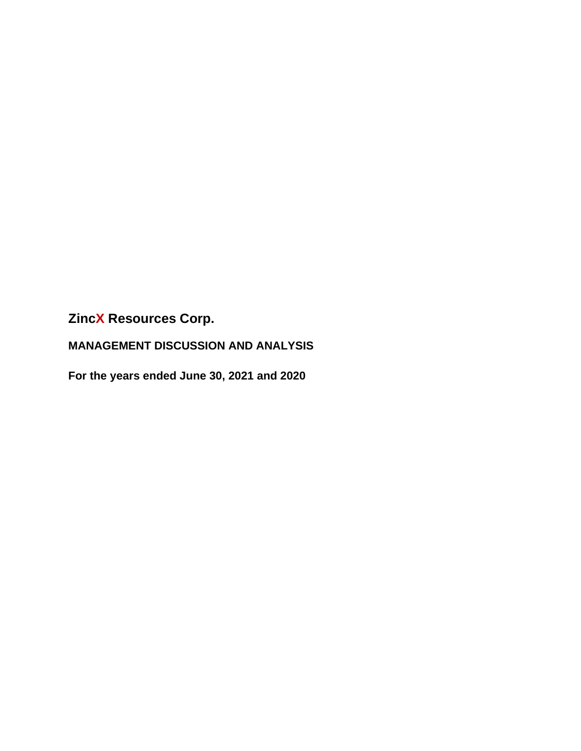**MANAGEMENT DISCUSSION AND ANALYSIS**

**For the years ended June 30, 2021 and 2020**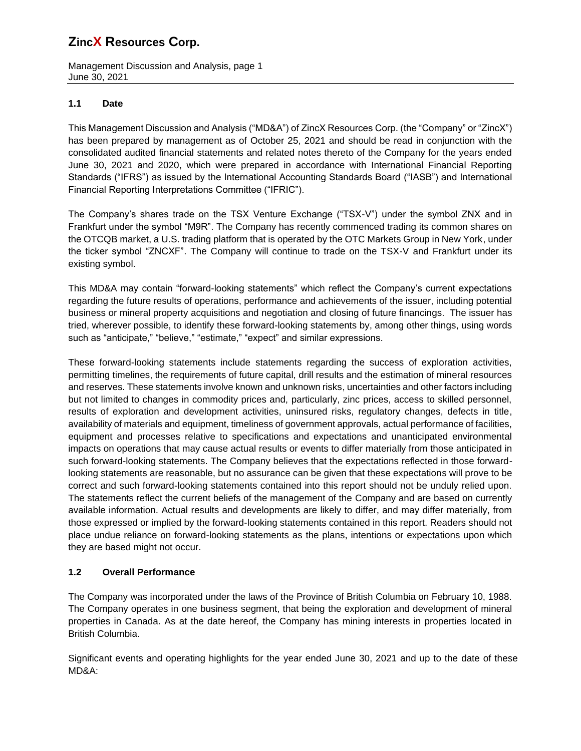Management Discussion and Analysis, page 1 June 30, 2021

## **1.1 Date**

This Management Discussion and Analysis ("MD&A") of ZincX Resources Corp. (the "Company" or "ZincX") has been prepared by management as of October 25, 2021 and should be read in conjunction with the consolidated audited financial statements and related notes thereto of the Company for the years ended June 30, 2021 and 2020, which were prepared in accordance with International Financial Reporting Standards ("IFRS") as issued by the International Accounting Standards Board ("IASB") and International Financial Reporting Interpretations Committee ("IFRIC").

The Company's shares trade on the TSX Venture Exchange ("TSX-V") under the symbol ZNX and in Frankfurt under the symbol "M9R". The Company has recently commenced trading its common shares on the OTCQB market, a U.S. trading platform that is operated by the OTC Markets Group in New York, under the ticker symbol "ZNCXF". The Company will continue to trade on the TSX-V and Frankfurt under its existing symbol.

This MD&A may contain "forward-looking statements" which reflect the Company's current expectations regarding the future results of operations, performance and achievements of the issuer, including potential business or mineral property acquisitions and negotiation and closing of future financings. The issuer has tried, wherever possible, to identify these forward-looking statements by, among other things, using words such as "anticipate," "believe," "estimate," "expect" and similar expressions.

These forward-looking statements include statements regarding the success of exploration activities, permitting timelines, the requirements of future capital, drill results and the estimation of mineral resources and reserves. These statements involve known and unknown risks, uncertainties and other factors including but not limited to changes in commodity prices and, particularly, zinc prices, access to skilled personnel, results of exploration and development activities, uninsured risks, regulatory changes, defects in title, availability of materials and equipment, timeliness of government approvals, actual performance of facilities, equipment and processes relative to specifications and expectations and unanticipated environmental impacts on operations that may cause actual results or events to differ materially from those anticipated in such forward-looking statements. The Company believes that the expectations reflected in those forwardlooking statements are reasonable, but no assurance can be given that these expectations will prove to be correct and such forward-looking statements contained into this report should not be unduly relied upon. The statements reflect the current beliefs of the management of the Company and are based on currently available information. Actual results and developments are likely to differ, and may differ materially, from those expressed or implied by the forward-looking statements contained in this report. Readers should not place undue reliance on forward-looking statements as the plans, intentions or expectations upon which they are based might not occur.

## **1.2 Overall Performance**

The Company was incorporated under the laws of the Province of British Columbia on February 10, 1988. The Company operates in one business segment, that being the exploration and development of mineral properties in Canada. As at the date hereof, the Company has mining interests in properties located in British Columbia.

Significant events and operating highlights for the year ended June 30, 2021 and up to the date of these MD&A: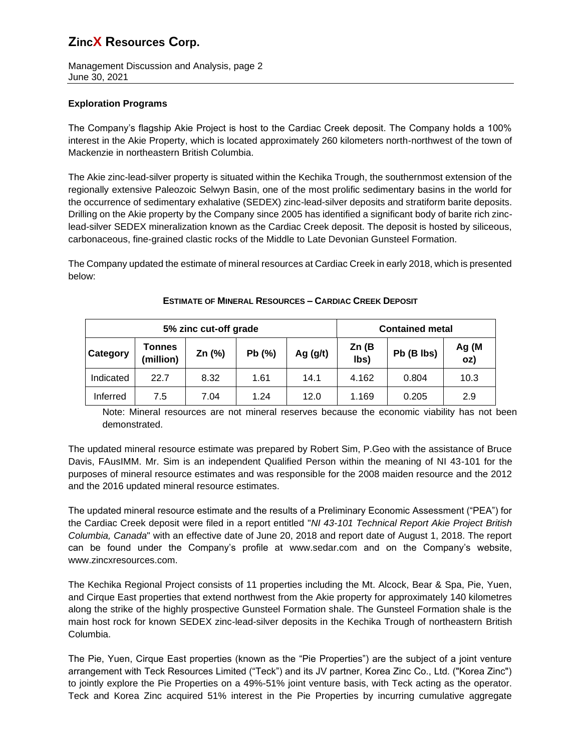Management Discussion and Analysis, page 2 June 30, 2021

## **Exploration Programs**

The Company's flagship Akie Project is host to the Cardiac Creek deposit. The Company holds a 100% interest in the Akie Property, which is located approximately 260 kilometers north-northwest of the town of Mackenzie in northeastern British Columbia.

The Akie zinc-lead-silver property is situated within the Kechika Trough, the southernmost extension of the regionally extensive Paleozoic Selwyn Basin, one of the most prolific sedimentary basins in the world for the occurrence of sedimentary exhalative (SEDEX) zinc-lead-silver deposits and stratiform barite deposits. Drilling on the Akie property by the Company since 2005 has identified a significant body of barite rich zinclead-silver SEDEX mineralization known as the Cardiac Creek deposit. The deposit is hosted by siliceous, carbonaceous, fine-grained clastic rocks of the Middle to Late Devonian Gunsteel Formation.

The Company updated the estimate of mineral resources at Cardiac Creek in early 2018, which is presented below:

|           |                     | 5% zinc cut-off grade | <b>Contained metal</b> |            |               |            |              |
|-----------|---------------------|-----------------------|------------------------|------------|---------------|------------|--------------|
| Category  | Tonnes<br>(million) | Zn $(%)$              | Pb(%)                  | Ag $(g/t)$ | Zn(B)<br>lbs) | Pb (B lbs) | Ag (M<br>oz) |
| Indicated | 22.7                | 8.32                  | 1.61                   | 14.1       | 4.162         | 0.804      | 10.3         |
| Inferred  | 7.5                 | 7.04                  | 1.24                   | 12.0       | 1.169         | 0.205      | 2.9          |

#### **ESTIMATE OF MINERAL RESOURCES – CARDIAC CREEK DEPOSIT**

Note: Mineral resources are not mineral reserves because the economic viability has not been demonstrated.

The updated mineral resource estimate was prepared by Robert Sim, P.Geo with the assistance of Bruce Davis, FAusIMM. Mr. Sim is an independent Qualified Person within the meaning of NI 43-101 for the purposes of mineral resource estimates and was responsible for the 2008 maiden resource and the 2012 and the 2016 updated mineral resource estimates.

The updated mineral resource estimate and the results of a Preliminary Economic Assessment ("PEA") for the Cardiac Creek deposit were filed in a report entitled "*NI 43-101 Technical Report Akie Project British Columbia, Canada*" with an effective date of June 20, 2018 and report date of August 1, 2018. The report can be found under the Company's profile at [www.sedar.com](http://www.sedar.com/) and on the Company's website, www.zincxresources.com.

The Kechika Regional Project consists of 11 properties including the Mt. Alcock, Bear & Spa, Pie, Yuen, and Cirque East properties that extend northwest from the Akie property for approximately 140 kilometres along the strike of the highly prospective Gunsteel Formation shale. The Gunsteel Formation shale is the main host rock for known SEDEX zinc-lead-silver deposits in the Kechika Trough of northeastern British Columbia.

The Pie, Yuen, Cirque East properties (known as the "Pie Properties") are the subject of a joint venture arrangement with Teck Resources Limited ("Teck") and its JV partner, Korea Zinc Co., Ltd. ("Korea Zinc") to jointly explore the Pie Properties on a 49%-51% joint venture basis, with Teck acting as the operator. Teck and Korea Zinc acquired 51% interest in the Pie Properties by incurring cumulative aggregate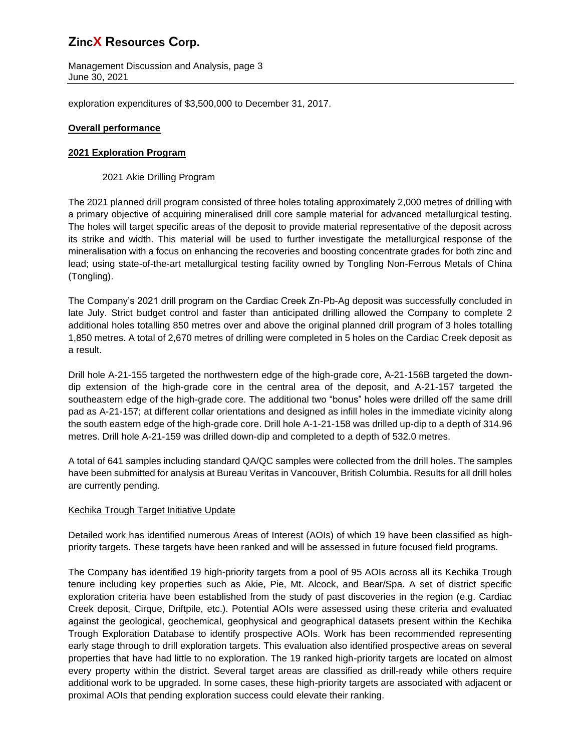Management Discussion and Analysis, page 3 June 30, 2021

exploration expenditures of \$3,500,000 to December 31, 2017.

## **Overall performance**

## **2021 Exploration Program**

## 2021 Akie Drilling Program

The 2021 planned drill program consisted of three holes totaling approximately 2,000 metres of drilling with a primary objective of acquiring mineralised drill core sample material for advanced metallurgical testing. The holes will target specific areas of the deposit to provide material representative of the deposit across its strike and width. This material will be used to further investigate the metallurgical response of the mineralisation with a focus on enhancing the recoveries and boosting concentrate grades for both zinc and lead; using state-of-the-art metallurgical testing facility owned by Tongling Non-Ferrous Metals of China (Tongling).

The Company's 2021 drill program on the Cardiac Creek Zn-Pb-Ag deposit was successfully concluded in late July. Strict budget control and faster than anticipated drilling allowed the Company to complete 2 additional holes totalling 850 metres over and above the original planned drill program of 3 holes totalling 1,850 metres. A total of 2,670 metres of drilling were completed in 5 holes on the Cardiac Creek deposit as a result.

Drill hole A-21-155 targeted the northwestern edge of the high-grade core, A-21-156B targeted the downdip extension of the high-grade core in the central area of the deposit, and A-21-157 targeted the southeastern edge of the high-grade core. The additional two "bonus" holes were drilled off the same drill pad as A-21-157; at different collar orientations and designed as infill holes in the immediate vicinity along the south eastern edge of the high-grade core. Drill hole A-1-21-158 was drilled up-dip to a depth of 314.96 metres. Drill hole A-21-159 was drilled down-dip and completed to a depth of 532.0 metres.

A total of 641 samples including standard QA/QC samples were collected from the drill holes. The samples have been submitted for analysis at Bureau Veritas in Vancouver, British Columbia. Results for all drill holes are currently pending.

## Kechika Trough Target Initiative Update

Detailed work has identified numerous Areas of Interest (AOIs) of which 19 have been classified as highpriority targets. These targets have been ranked and will be assessed in future focused field programs.

The Company has identified 19 high-priority targets from a pool of 95 AOIs across all its Kechika Trough tenure including key properties such as Akie, Pie, Mt. Alcock, and Bear/Spa. A set of district specific exploration criteria have been established from the study of past discoveries in the region (e.g. Cardiac Creek deposit, Cirque, Driftpile, etc.). Potential AOIs were assessed using these criteria and evaluated against the geological, geochemical, geophysical and geographical datasets present within the Kechika Trough Exploration Database to identify prospective AOIs. Work has been recommended representing early stage through to drill exploration targets. This evaluation also identified prospective areas on several properties that have had little to no exploration. The 19 ranked high-priority targets are located on almost every property within the district. Several target areas are classified as drill-ready while others require additional work to be upgraded. In some cases, these high-priority targets are associated with adjacent or proximal AOIs that pending exploration success could elevate their ranking.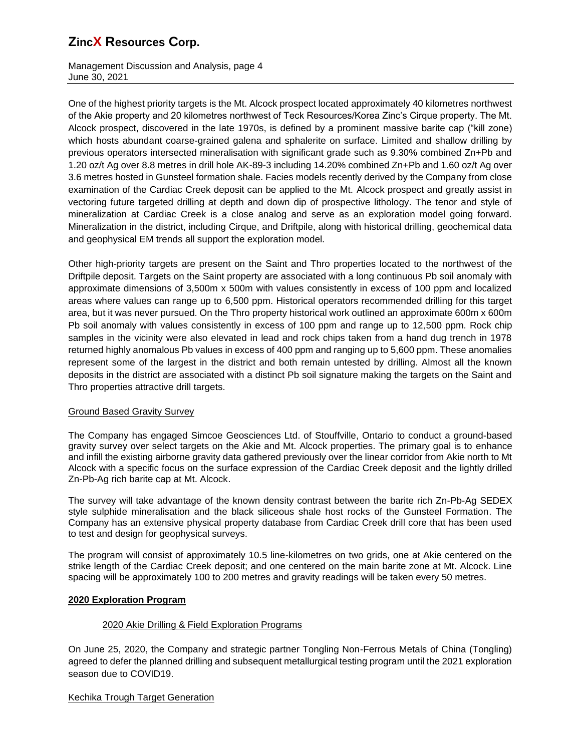Management Discussion and Analysis, page 4 June 30, 2021

One of the highest priority targets is the Mt. Alcock prospect located approximately 40 kilometres northwest of the Akie property and 20 kilometres northwest of Teck Resources/Korea Zinc's Cirque property. The Mt. Alcock prospect, discovered in the late 1970s, is defined by a prominent massive barite cap ("kill zone) which hosts abundant coarse-grained galena and sphalerite on surface. Limited and shallow drilling by previous operators intersected mineralisation with significant grade such as 9.30% combined Zn+Pb and 1.20 oz/t Ag over 8.8 metres in drill hole AK-89-3 including 14.20% combined Zn+Pb and 1.60 oz/t Ag over 3.6 metres hosted in Gunsteel formation shale. Facies models recently derived by the Company from close examination of the Cardiac Creek deposit can be applied to the Mt. Alcock prospect and greatly assist in vectoring future targeted drilling at depth and down dip of prospective lithology. The tenor and style of mineralization at Cardiac Creek is a close analog and serve as an exploration model going forward. Mineralization in the district, including Cirque, and Driftpile, along with historical drilling, geochemical data and geophysical EM trends all support the exploration model.

Other high-priority targets are present on the Saint and Thro properties located to the northwest of the Driftpile deposit. Targets on the Saint property are associated with a long continuous Pb soil anomaly with approximate dimensions of 3,500m x 500m with values consistently in excess of 100 ppm and localized areas where values can range up to 6,500 ppm. Historical operators recommended drilling for this target area, but it was never pursued. On the Thro property historical work outlined an approximate 600m x 600m Pb soil anomaly with values consistently in excess of 100 ppm and range up to 12,500 ppm. Rock chip samples in the vicinity were also elevated in lead and rock chips taken from a hand dug trench in 1978 returned highly anomalous Pb values in excess of 400 ppm and ranging up to 5,600 ppm. These anomalies represent some of the largest in the district and both remain untested by drilling. Almost all the known deposits in the district are associated with a distinct Pb soil signature making the targets on the Saint and Thro properties attractive drill targets.

## Ground Based Gravity Survey

The Company has engaged Simcoe Geosciences Ltd. of Stouffville, Ontario to conduct a ground-based gravity survey over select targets on the Akie and Mt. Alcock properties. The primary goal is to enhance and infill the existing airborne gravity data gathered previously over the linear corridor from Akie north to Mt Alcock with a specific focus on the surface expression of the Cardiac Creek deposit and the lightly drilled Zn-Pb-Ag rich barite cap at Mt. Alcock.

The survey will take advantage of the known density contrast between the barite rich Zn-Pb-Ag SEDEX style sulphide mineralisation and the black siliceous shale host rocks of the Gunsteel Formation. The Company has an extensive physical property database from Cardiac Creek drill core that has been used to test and design for geophysical surveys.

The program will consist of approximately 10.5 line-kilometres on two grids, one at Akie centered on the strike length of the Cardiac Creek deposit; and one centered on the main barite zone at Mt. Alcock. Line spacing will be approximately 100 to 200 metres and gravity readings will be taken every 50 metres.

#### **2020 Exploration Program**

#### 2020 Akie Drilling & Field Exploration Programs

On June 25, 2020, the Company and strategic partner Tongling Non-Ferrous Metals of China (Tongling) agreed to defer the planned drilling and subsequent metallurgical testing program until the 2021 exploration season due to COVID19.

## Kechika Trough Target Generation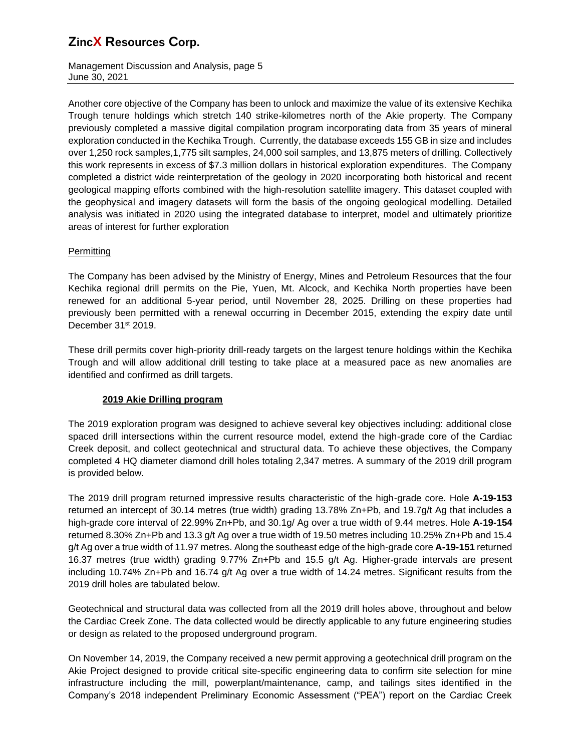Management Discussion and Analysis, page 5 June 30, 2021

Another core objective of the Company has been to unlock and maximize the value of its extensive Kechika Trough tenure holdings which stretch 140 strike-kilometres north of the Akie property. The Company previously completed a massive digital compilation program incorporating data from 35 years of mineral exploration conducted in the Kechika Trough. Currently, the database exceeds 155 GB in size and includes over 1,250 rock samples,1,775 silt samples, 24,000 soil samples, and 13,875 meters of drilling. Collectively this work represents in excess of \$7.3 million dollars in historical exploration expenditures. The Company completed a district wide reinterpretation of the geology in 2020 incorporating both historical and recent geological mapping efforts combined with the high-resolution satellite imagery. This dataset coupled with the geophysical and imagery datasets will form the basis of the ongoing geological modelling. Detailed analysis was initiated in 2020 using the integrated database to interpret, model and ultimately prioritize areas of interest for further exploration

## Permitting

The Company has been advised by the Ministry of Energy, Mines and Petroleum Resources that the four Kechika regional drill permits on the Pie, Yuen, Mt. Alcock, and Kechika North properties have been renewed for an additional 5-year period, until November 28, 2025. Drilling on these properties had previously been permitted with a renewal occurring in December 2015, extending the expiry date until December 31<sup>st</sup> 2019.

These drill permits cover high-priority drill-ready targets on the largest tenure holdings within the Kechika Trough and will allow additional drill testing to take place at a measured pace as new anomalies are identified and confirmed as drill targets.

## **2019 Akie Drilling program**

The 2019 exploration program was designed to achieve several key objectives including: additional close spaced drill intersections within the current resource model, extend the high-grade core of the Cardiac Creek deposit, and collect geotechnical and structural data. To achieve these objectives, the Company completed 4 HQ diameter diamond drill holes totaling 2,347 metres. A summary of the 2019 drill program is provided below.

The 2019 drill program returned impressive results characteristic of the high-grade core. Hole **A-19-153** returned an intercept of 30.14 metres (true width) grading 13.78% Zn+Pb, and 19.7g/t Ag that includes a high-grade core interval of 22.99% Zn+Pb, and 30.1g/ Ag over a true width of 9.44 metres. Hole **A-19-154** returned 8.30% Zn+Pb and 13.3 g/t Ag over a true width of 19.50 metres including 10.25% Zn+Pb and 15.4 g/t Ag over a true width of 11.97 metres. Along the southeast edge of the high-grade core **A-19-151** returned 16.37 metres (true width) grading 9.77% Zn+Pb and 15.5 g/t Ag. Higher-grade intervals are present including 10.74% Zn+Pb and 16.74 g/t Ag over a true width of 14.24 metres. Significant results from the 2019 drill holes are tabulated below.

Geotechnical and structural data was collected from all the 2019 drill holes above, throughout and below the Cardiac Creek Zone. The data collected would be directly applicable to any future engineering studies or design as related to the proposed underground program.

On November 14, 2019, the Company received a new permit approving a geotechnical drill program on the Akie Project designed to provide critical site-specific engineering data to confirm site selection for mine infrastructure including the mill, powerplant/maintenance, camp, and tailings sites identified in the Company's 2018 independent Preliminary Economic Assessment ("PEA") report on the Cardiac Creek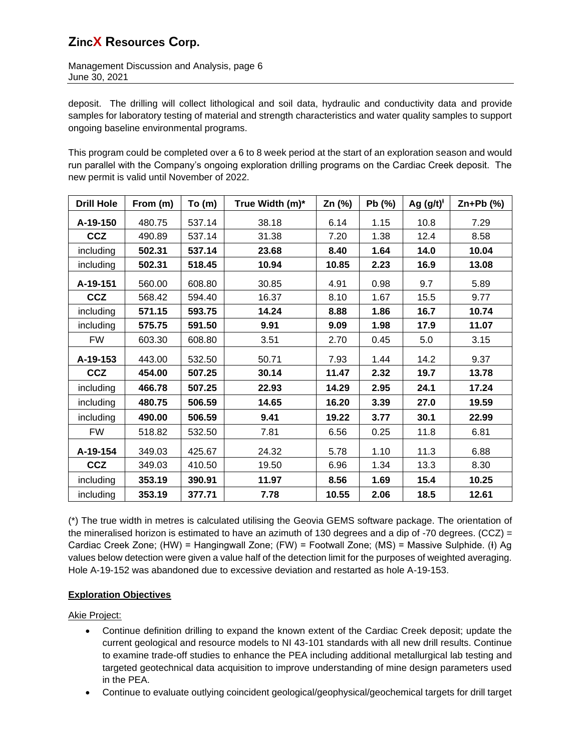Management Discussion and Analysis, page 6 June 30, 2021

deposit. The drilling will collect lithological and soil data, hydraulic and conductivity data and provide samples for laboratory testing of material and strength characteristics and water quality samples to support ongoing baseline environmental programs.

This program could be completed over a 6 to 8 week period at the start of an exploration season and would run parallel with the Company's ongoing exploration drilling programs on the Cardiac Creek deposit. The new permit is valid until November of 2022.

| <b>Drill Hole</b> | From (m) | To(m)  | True Width (m)* | Zn (%) | Pb (%) | Ag $(g/t)^{t}$ | $Zn+Pb$ (%) |
|-------------------|----------|--------|-----------------|--------|--------|----------------|-------------|
| A-19-150          | 480.75   | 537.14 | 38.18           | 6.14   | 1.15   | 10.8           | 7.29        |
| <b>CCZ</b>        | 490.89   | 537.14 | 31.38           | 7.20   | 1.38   | 12.4           | 8.58        |
| including         | 502.31   | 537.14 | 23.68           | 8.40   | 1.64   | 14.0           | 10.04       |
| including         | 502.31   | 518.45 | 10.94           | 10.85  | 2.23   | 16.9           | 13.08       |
| A-19-151          | 560.00   | 608.80 | 30.85           | 4.91   | 0.98   | 9.7            | 5.89        |
| <b>CCZ</b>        | 568.42   | 594.40 | 16.37           | 8.10   | 1.67   | 15.5           | 9.77        |
| including         | 571.15   | 593.75 | 14.24           | 8.88   | 1.86   | 16.7           | 10.74       |
| including         | 575.75   | 591.50 | 9.91            | 9.09   | 1.98   | 17.9           | 11.07       |
| <b>FW</b>         | 603.30   | 608.80 | 3.51            | 2.70   | 0.45   | 5.0            | 3.15        |
| A-19-153          | 443.00   | 532.50 | 50.71           | 7.93   | 1.44   | 14.2           | 9.37        |
| <b>CCZ</b>        | 454.00   | 507.25 | 30.14           | 11.47  | 2.32   | 19.7           | 13.78       |
| including         | 466.78   | 507.25 | 22.93           | 14.29  | 2.95   | 24.1           | 17.24       |
| including         | 480.75   | 506.59 | 14.65           | 16.20  | 3.39   | 27.0           | 19.59       |
| including         | 490.00   | 506.59 | 9.41            | 19.22  | 3.77   | 30.1           | 22.99       |
| <b>FW</b>         | 518.82   | 532.50 | 7.81            | 6.56   | 0.25   | 11.8           | 6.81        |
| A-19-154          | 349.03   | 425.67 | 24.32           | 5.78   | 1.10   | 11.3           | 6.88        |
| <b>CCZ</b>        | 349.03   | 410.50 | 19.50           | 6.96   | 1.34   | 13.3           | 8.30        |
| including         | 353.19   | 390.91 | 11.97           | 8.56   | 1.69   | 15.4           | 10.25       |
| including         | 353.19   | 377.71 | 7.78            | 10.55  | 2.06   | 18.5           | 12.61       |

(\*) The true width in metres is calculated utilising the Geovia GEMS software package. The orientation of the mineralised horizon is estimated to have an azimuth of 130 degrees and a dip of -70 degrees. (CCZ) = Cardiac Creek Zone; (HW) = Hangingwall Zone; (FW) = Footwall Zone; (MS) = Massive Sulphide. (ł) Ag values below detection were given a value half of the detection limit for the purposes of weighted averaging. Hole A-19-152 was abandoned due to excessive deviation and restarted as hole A-19-153.

## **Exploration Objectives**

Akie Project:

- Continue definition drilling to expand the known extent of the Cardiac Creek deposit; update the current geological and resource models to NI 43-101 standards with all new drill results. Continue to examine trade-off studies to enhance the PEA including additional metallurgical lab testing and targeted geotechnical data acquisition to improve understanding of mine design parameters used in the PEA.
- Continue to evaluate outlying coincident geological/geophysical/geochemical targets for drill target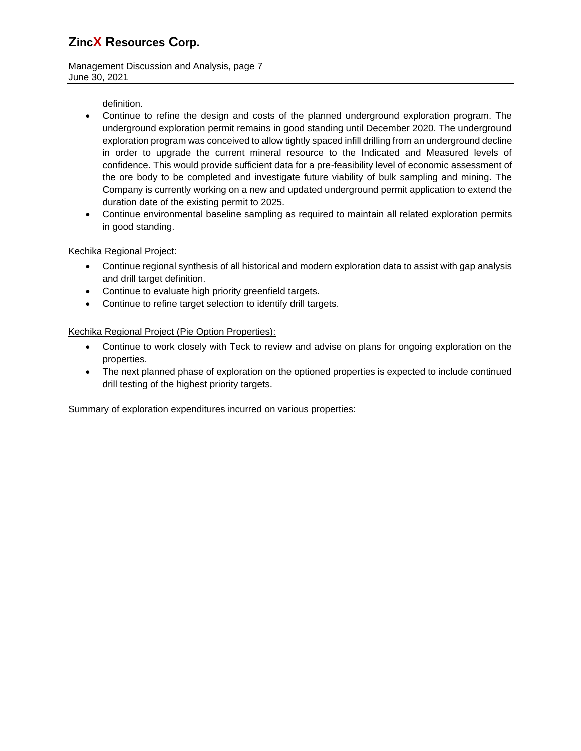Management Discussion and Analysis, page 7 June 30, 2021

definition.

- Continue to refine the design and costs of the planned underground exploration program. The underground exploration permit remains in good standing until December 2020. The underground exploration program was conceived to allow tightly spaced infill drilling from an underground decline in order to upgrade the current mineral resource to the Indicated and Measured levels of confidence. This would provide sufficient data for a pre-feasibility level of economic assessment of the ore body to be completed and investigate future viability of bulk sampling and mining. The Company is currently working on a new and updated underground permit application to extend the duration date of the existing permit to 2025.
- Continue environmental baseline sampling as required to maintain all related exploration permits in good standing.

## Kechika Regional Project:

- Continue regional synthesis of all historical and modern exploration data to assist with gap analysis and drill target definition.
- Continue to evaluate high priority greenfield targets.
- Continue to refine target selection to identify drill targets.

## Kechika Regional Project (Pie Option Properties):

- Continue to work closely with Teck to review and advise on plans for ongoing exploration on the properties.
- The next planned phase of exploration on the optioned properties is expected to include continued drill testing of the highest priority targets.

Summary of exploration expenditures incurred on various properties: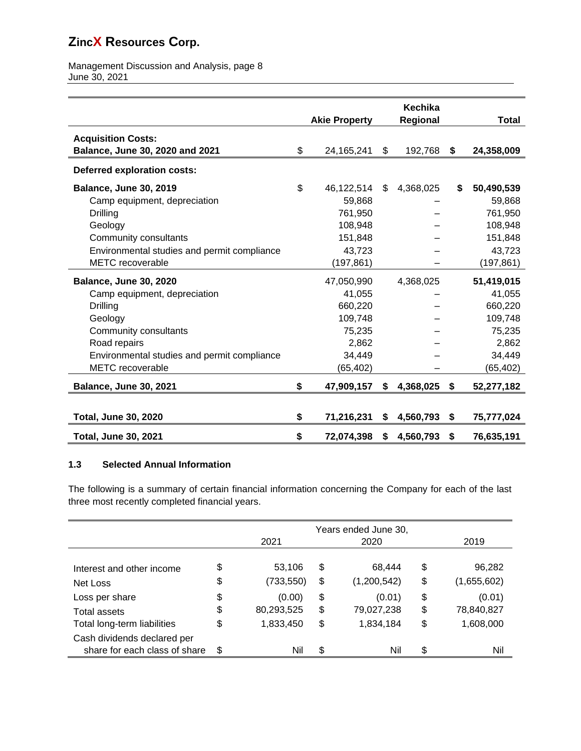Management Discussion and Analysis, page 8 June 30, 2021

|                                             | <b>Akie Property</b> | <b>Kechika</b><br>Regional | <b>Total</b>     |
|---------------------------------------------|----------------------|----------------------------|------------------|
|                                             |                      |                            |                  |
| <b>Acquisition Costs:</b>                   |                      |                            |                  |
| Balance, June 30, 2020 and 2021             | \$<br>24, 165, 241   | \$<br>192,768              | \$<br>24,358,009 |
| <b>Deferred exploration costs:</b>          |                      |                            |                  |
| <b>Balance, June 30, 2019</b>               | \$<br>46,122,514     | \$<br>4,368,025            | \$<br>50,490,539 |
| Camp equipment, depreciation                | 59,868               |                            | 59,868           |
| Drilling                                    | 761,950              |                            | 761,950          |
| Geology                                     | 108,948              |                            | 108,948          |
| Community consultants                       | 151,848              |                            | 151,848          |
| Environmental studies and permit compliance | 43,723               |                            | 43,723           |
| <b>METC</b> recoverable                     | (197,861)            |                            | (197, 861)       |
| <b>Balance, June 30, 2020</b>               | 47,050,990           | 4,368,025                  | 51,419,015       |
| Camp equipment, depreciation                | 41,055               |                            | 41,055           |
| Drilling                                    | 660,220              |                            | 660,220          |
| Geology                                     | 109,748              |                            | 109,748          |
| Community consultants                       | 75,235               |                            | 75,235           |
| Road repairs                                | 2,862                |                            | 2,862            |
| Environmental studies and permit compliance | 34,449               |                            | 34,449           |
| <b>METC</b> recoverable                     | (65, 402)            |                            | (65, 402)        |
| <b>Balance, June 30, 2021</b>               | \$<br>47,909,157     | \$<br>4,368,025            | \$<br>52,277,182 |
|                                             |                      |                            |                  |
| <b>Total, June 30, 2020</b>                 | \$<br>71,216,231     | \$<br>4,560,793            | \$<br>75,777,024 |
| <b>Total, June 30, 2021</b>                 | \$<br>72,074,398     | \$<br>4,560,793            | \$<br>76,635,191 |

## **1.3 Selected Annual Information**

The following is a summary of certain financial information concerning the Company for each of the last three most recently completed financial years.

|                               | Years ended June 30, |            |    |             |    |             |
|-------------------------------|----------------------|------------|----|-------------|----|-------------|
|                               |                      | 2021       |    | 2020        |    | 2019        |
|                               |                      |            |    |             |    |             |
| Interest and other income     | \$                   | 53,106     | \$ | 68.444      | \$ | 96,282      |
| Net Loss                      | \$                   | (733, 550) | \$ | (1,200,542) | \$ | (1,655,602) |
| Loss per share                | \$                   | (0.00)     | \$ | (0.01)      | \$ | (0.01)      |
| Total assets                  | \$                   | 80,293,525 | \$ | 79,027,238  | \$ | 78,840,827  |
| Total long-term liabilities   | \$                   | 1,833,450  | \$ | 1,834,184   | \$ | 1,608,000   |
| Cash dividends declared per   |                      |            |    |             |    |             |
| share for each class of share | \$                   | Nil        | \$ | Nil         | \$ | Nil         |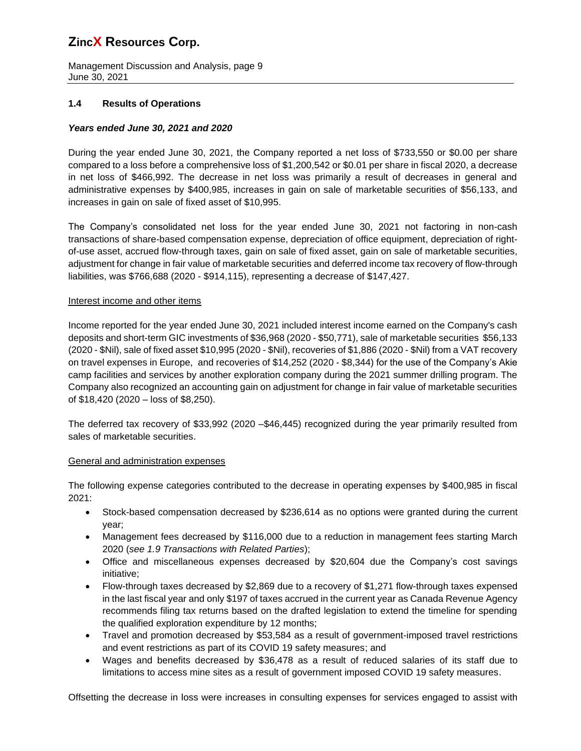Management Discussion and Analysis, page 9 June 30, 2021

## **1.4 Results of Operations**

## *Years ended June 30, 2021 and 2020*

During the year ended June 30, 2021, the Company reported a net loss of \$733,550 or \$0.00 per share compared to a loss before a comprehensive loss of \$1,200,542 or \$0.01 per share in fiscal 2020, a decrease in net loss of \$466,992. The decrease in net loss was primarily a result of decreases in general and administrative expenses by \$400,985, increases in gain on sale of marketable securities of \$56,133, and increases in gain on sale of fixed asset of \$10,995.

The Company's consolidated net loss for the year ended June 30, 2021 not factoring in non-cash transactions of share-based compensation expense, depreciation of office equipment, depreciation of rightof-use asset, accrued flow-through taxes, gain on sale of fixed asset, gain on sale of marketable securities, adjustment for change in fair value of marketable securities and deferred income tax recovery of flow-through liabilities, was \$766,688 (2020 - \$914,115), representing a decrease of \$147,427.

#### Interest income and other items

Income reported for the year ended June 30, 2021 included interest income earned on the Company's cash deposits and short-term GIC investments of \$36,968 (2020 - \$50,771), sale of marketable securities \$56,133 (2020 - \$Nil), sale of fixed asset \$10,995 (2020 - \$Nil), recoveries of \$1,886 (2020 - \$Nil) from a VAT recovery on travel expenses in Europe, and recoveries of \$14,252 (2020 - \$8,344) for the use of the Company's Akie camp facilities and services by another exploration company during the 2021 summer drilling program. The Company also recognized an accounting gain on adjustment for change in fair value of marketable securities of \$18,420 (2020 – loss of \$8,250).

The deferred tax recovery of \$33,992 (2020 –\$46,445) recognized during the year primarily resulted from sales of marketable securities.

#### General and administration expenses

The following expense categories contributed to the decrease in operating expenses by \$400,985 in fiscal 2021:

- Stock-based compensation decreased by \$236,614 as no options were granted during the current year;
- Management fees decreased by \$116,000 due to a reduction in management fees starting March 2020 (*see 1.9 Transactions with Related Parties*);
- Office and miscellaneous expenses decreased by \$20,604 due the Company's cost savings initiative;
- Flow-through taxes decreased by \$2,869 due to a recovery of \$1,271 flow-through taxes expensed in the last fiscal year and only \$197 of taxes accrued in the current year as Canada Revenue Agency recommends filing tax returns based on the drafted legislation to extend the timeline for spending the qualified exploration expenditure by 12 months;
- Travel and promotion decreased by \$53,584 as a result of government-imposed travel restrictions and event restrictions as part of its COVID 19 safety measures; and
- Wages and benefits decreased by \$36,478 as a result of reduced salaries of its staff due to limitations to access mine sites as a result of government imposed COVID 19 safety measures.

Offsetting the decrease in loss were increases in consulting expenses for services engaged to assist with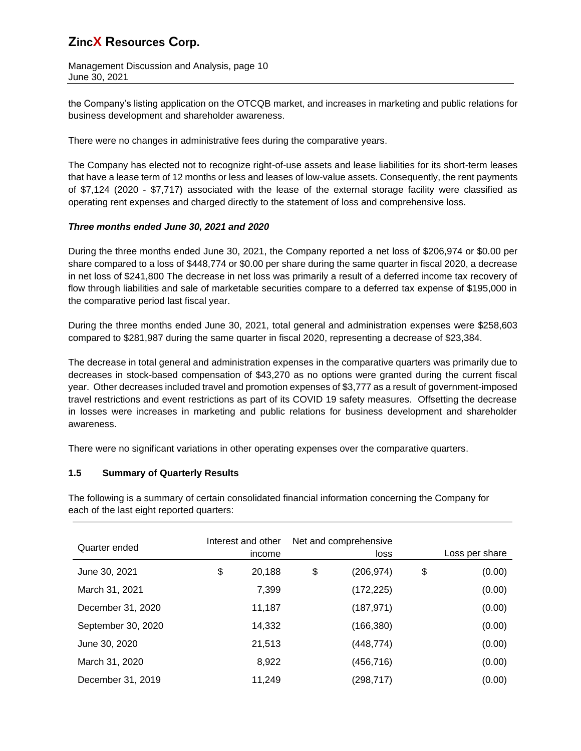Management Discussion and Analysis, page 10 June 30, 2021

the Company's listing application on the OTCQB market, and increases in marketing and public relations for business development and shareholder awareness.

There were no changes in administrative fees during the comparative years.

The Company has elected not to recognize right-of-use assets and lease liabilities for its short-term leases that have a lease term of 12 months or less and leases of low-value assets. Consequently, the rent payments of \$7,124 (2020 - \$7,717) associated with the lease of the external storage facility were classified as operating rent expenses and charged directly to the statement of loss and comprehensive loss.

## *Three months ended June 30, 2021 and 2020*

During the three months ended June 30, 2021, the Company reported a net loss of \$206,974 or \$0.00 per share compared to a loss of \$448,774 or \$0.00 per share during the same quarter in fiscal 2020, a decrease in net loss of \$241,800 The decrease in net loss was primarily a result of a deferred income tax recovery of flow through liabilities and sale of marketable securities compare to a deferred tax expense of \$195,000 in the comparative period last fiscal year.

During the three months ended June 30, 2021, total general and administration expenses were \$258,603 compared to \$281,987 during the same quarter in fiscal 2020, representing a decrease of \$23,384.

The decrease in total general and administration expenses in the comparative quarters was primarily due to decreases in stock-based compensation of \$43,270 as no options were granted during the current fiscal year. Other decreases included travel and promotion expenses of \$3,777 as a result of government-imposed travel restrictions and event restrictions as part of its COVID 19 safety measures. Offsetting the decrease in losses were increases in marketing and public relations for business development and shareholder awareness.

There were no significant variations in other operating expenses over the comparative quarters.

## **1.5 Summary of Quarterly Results**

The following is a summary of certain consolidated financial information concerning the Company for each of the last eight reported quarters:

| Quarter ended      | Interest and other<br>income | Net and comprehensive<br>loss |            | Loss per share |
|--------------------|------------------------------|-------------------------------|------------|----------------|
| June 30, 2021      | \$<br>20,188                 | \$                            | (206, 974) | \$<br>(0.00)   |
| March 31, 2021     | 7,399                        |                               | (172, 225) | (0.00)         |
| December 31, 2020  | 11,187                       |                               | (187, 971) | (0.00)         |
| September 30, 2020 | 14,332                       |                               | (166, 380) | (0.00)         |
| June 30, 2020      | 21,513                       |                               | (448,774)  | (0.00)         |
| March 31, 2020     | 8,922                        |                               | (456,716)  | (0.00)         |
| December 31, 2019  | 11,249                       |                               | (298, 717) | (0.00)         |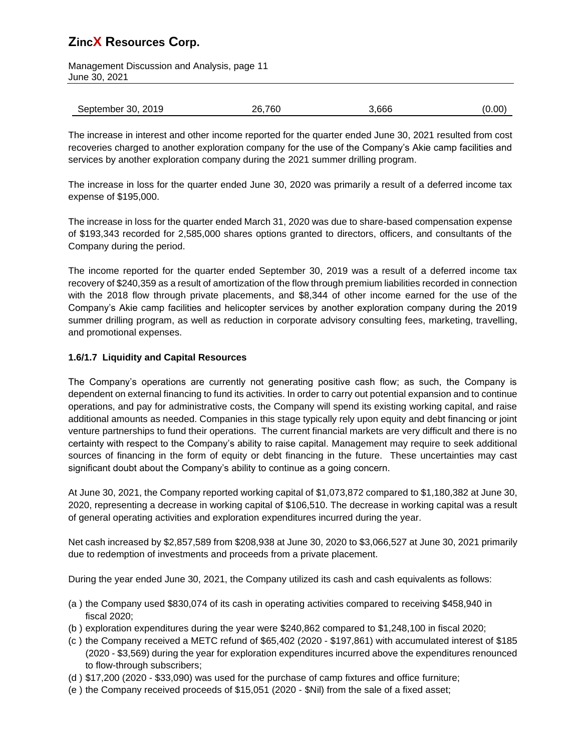Management Discussion and Analysis, page 11 June 30, 2021

| September 30, 2019 | 26,760 | 3,666 | (0.00) |
|--------------------|--------|-------|--------|

The increase in interest and other income reported for the quarter ended June 30, 2021 resulted from cost recoveries charged to another exploration company for the use of the Company's Akie camp facilities and services by another exploration company during the 2021 summer drilling program.

The increase in loss for the quarter ended June 30, 2020 was primarily a result of a deferred income tax expense of \$195,000.

The increase in loss for the quarter ended March 31, 2020 was due to share-based compensation expense of \$193,343 recorded for 2,585,000 shares options granted to directors, officers, and consultants of the Company during the period.

The income reported for the quarter ended September 30, 2019 was a result of a deferred income tax recovery of \$240,359 as a result of amortization of the flow through premium liabilities recorded in connection with the 2018 flow through private placements, and \$8,344 of other income earned for the use of the Company's Akie camp facilities and helicopter services by another exploration company during the 2019 summer drilling program, as well as reduction in corporate advisory consulting fees, marketing, travelling, and promotional expenses.

## **1.6/1.7 Liquidity and Capital Resources**

The Company's operations are currently not generating positive cash flow; as such, the Company is dependent on external financing to fund its activities. In order to carry out potential expansion and to continue operations, and pay for administrative costs, the Company will spend its existing working capital, and raise additional amounts as needed. Companies in this stage typically rely upon equity and debt financing or joint venture partnerships to fund their operations. The current financial markets are very difficult and there is no certainty with respect to the Company's ability to raise capital. Management may require to seek additional sources of financing in the form of equity or debt financing in the future. These uncertainties may cast significant doubt about the Company's ability to continue as a going concern.

At June 30, 2021, the Company reported working capital of \$1,073,872 compared to \$1,180,382 at June 30, 2020, representing a decrease in working capital of \$106,510. The decrease in working capital was a result of general operating activities and exploration expenditures incurred during the year.

Net cash increased by \$2,857,589 from \$208,938 at June 30, 2020 to \$3,066,527 at June 30, 2021 primarily due to redemption of investments and proceeds from a private placement.

During the year ended June 30, 2021, the Company utilized its cash and cash equivalents as follows:

- (a ) the Company used \$830,074 of its cash in operating activities compared to receiving \$458,940 in fiscal 2020;
- (b ) exploration expenditures during the year were \$240,862 compared to \$1,248,100 in fiscal 2020;
- (c ) the Company received a METC refund of \$65,402 (2020 \$197,861) with accumulated interest of \$185 (2020 - \$3,569) during the year for exploration expenditures incurred above the expenditures renounced to flow-through subscribers;
- (d ) \$17,200 (2020 \$33,090) was used for the purchase of camp fixtures and office furniture;
- (e ) the Company received proceeds of \$15,051 (2020 \$Nil) from the sale of a fixed asset;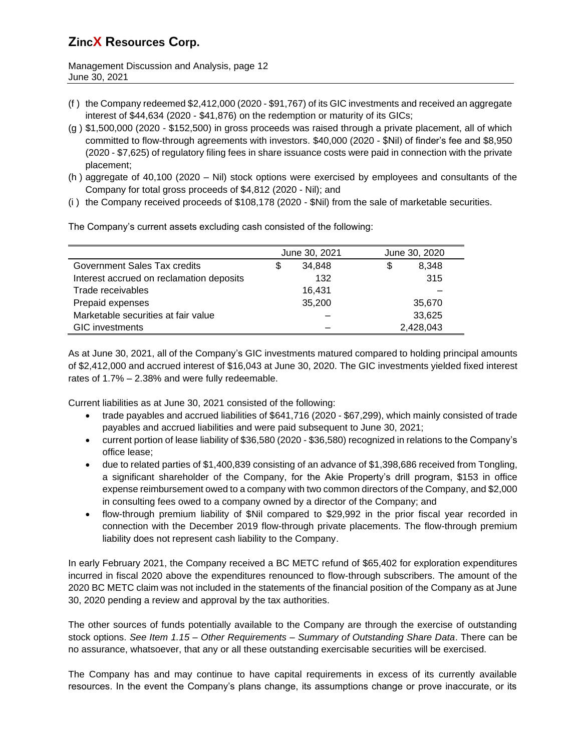Management Discussion and Analysis, page 12 June 30, 2021

- (f ) the Company redeemed \$2,412,000 (2020 \$91,767) of its GIC investments and received an aggregate interest of \$44,634 (2020 - \$41,876) on the redemption or maturity of its GICs;
- (g ) \$1,500,000 (2020 \$152,500) in gross proceeds was raised through a private placement, all of which committed to flow-through agreements with investors. \$40,000 (2020 - \$Nil) of finder's fee and \$8,950 (2020 - \$7,625) of regulatory filing fees in share issuance costs were paid in connection with the private placement;
- (h ) aggregate of 40,100 (2020 Nil) stock options were exercised by employees and consultants of the Company for total gross proceeds of \$4,812 (2020 - Nil); and
- (i ) the Company received proceeds of \$108,178 (2020 \$Nil) from the sale of marketable securities.

The Company's current assets excluding cash consisted of the following:

|                                          | June 30, 2021 |        | June 30, 2020 |
|------------------------------------------|---------------|--------|---------------|
| Government Sales Tax credits             |               | 34.848 | \$<br>8,348   |
| Interest accrued on reclamation deposits |               | 132    | 315           |
| Trade receivables                        |               | 16,431 |               |
| Prepaid expenses                         |               | 35,200 | 35,670        |
| Marketable securities at fair value      |               |        | 33,625        |
| <b>GIC</b> investments                   |               |        | 2,428,043     |

As at June 30, 2021, all of the Company's GIC investments matured compared to holding principal amounts of \$2,412,000 and accrued interest of \$16,043 at June 30, 2020. The GIC investments yielded fixed interest rates of 1.7% – 2.38% and were fully redeemable.

Current liabilities as at June 30, 2021 consisted of the following:

- trade payables and accrued liabilities of \$641,716 (2020 \$67,299), which mainly consisted of trade payables and accrued liabilities and were paid subsequent to June 30, 2021;
- current portion of lease liability of \$36,580 (2020 \$36,580) recognized in relations to the Company's office lease;
- due to related parties of \$1,400,839 consisting of an advance of \$1,398,686 received from Tongling, a significant shareholder of the Company, for the Akie Property's drill program, \$153 in office expense reimbursement owed to a company with two common directors of the Company, and \$2,000 in consulting fees owed to a company owned by a director of the Company; and
- flow-through premium liability of \$Nil compared to \$29,992 in the prior fiscal year recorded in connection with the December 2019 flow-through private placements. The flow-through premium liability does not represent cash liability to the Company.

In early February 2021, the Company received a BC METC refund of \$65,402 for exploration expenditures incurred in fiscal 2020 above the expenditures renounced to flow-through subscribers. The amount of the 2020 BC METC claim was not included in the statements of the financial position of the Company as at June 30, 2020 pending a review and approval by the tax authorities.

The other sources of funds potentially available to the Company are through the exercise of outstanding stock options. *See Item 1.15 – Other Requirements – Summary of Outstanding Share Data*. There can be no assurance, whatsoever, that any or all these outstanding exercisable securities will be exercised.

The Company has and may continue to have capital requirements in excess of its currently available resources. In the event the Company's plans change, its assumptions change or prove inaccurate, or its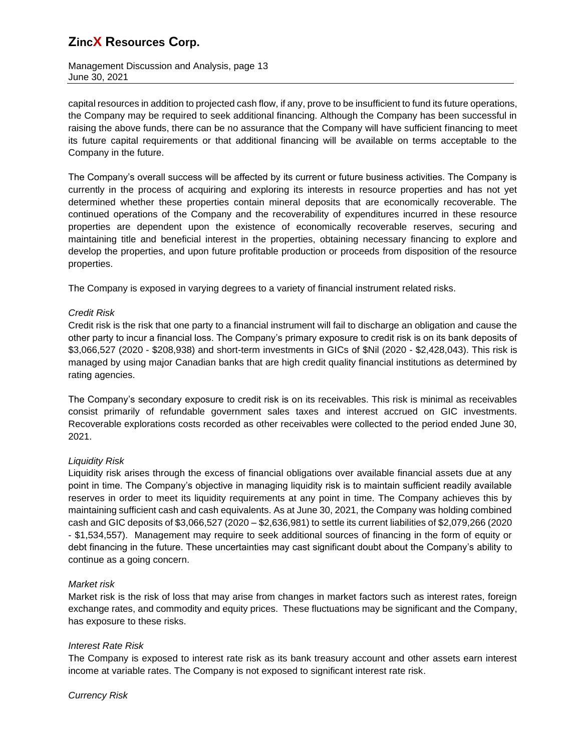Management Discussion and Analysis, page 13 June 30, 2021

capital resources in addition to projected cash flow, if any, prove to be insufficient to fund its future operations, the Company may be required to seek additional financing. Although the Company has been successful in raising the above funds, there can be no assurance that the Company will have sufficient financing to meet its future capital requirements or that additional financing will be available on terms acceptable to the Company in the future.

The Company's overall success will be affected by its current or future business activities. The Company is currently in the process of acquiring and exploring its interests in resource properties and has not yet determined whether these properties contain mineral deposits that are economically recoverable. The continued operations of the Company and the recoverability of expenditures incurred in these resource properties are dependent upon the existence of economically recoverable reserves, securing and maintaining title and beneficial interest in the properties, obtaining necessary financing to explore and develop the properties, and upon future profitable production or proceeds from disposition of the resource properties.

The Company is exposed in varying degrees to a variety of financial instrument related risks.

## *Credit Risk*

Credit risk is the risk that one party to a financial instrument will fail to discharge an obligation and cause the other party to incur a financial loss. The Company's primary exposure to credit risk is on its bank deposits of \$3,066,527 (2020 - \$208,938) and short-term investments in GICs of \$Nil (2020 - \$2,428,043). This risk is managed by using major Canadian banks that are high credit quality financial institutions as determined by rating agencies.

The Company's secondary exposure to credit risk is on its receivables. This risk is minimal as receivables consist primarily of refundable government sales taxes and interest accrued on GIC investments. Recoverable explorations costs recorded as other receivables were collected to the period ended June 30, 2021.

## *Liquidity Risk*

Liquidity risk arises through the excess of financial obligations over available financial assets due at any point in time. The Company's objective in managing liquidity risk is to maintain sufficient readily available reserves in order to meet its liquidity requirements at any point in time. The Company achieves this by maintaining sufficient cash and cash equivalents. As at June 30, 2021, the Company was holding combined cash and GIC deposits of \$3,066,527 (2020 – \$2,636,981) to settle its current liabilities of \$2,079,266 (2020 - \$1,534,557). Management may require to seek additional sources of financing in the form of equity or debt financing in the future. These uncertainties may cast significant doubt about the Company's ability to continue as a going concern.

#### *Market risk*

Market risk is the risk of loss that may arise from changes in market factors such as interest rates, foreign exchange rates, and commodity and equity prices. These fluctuations may be significant and the Company, has exposure to these risks.

#### *Interest Rate Risk*

The Company is exposed to interest rate risk as its bank treasury account and other assets earn interest income at variable rates. The Company is not exposed to significant interest rate risk.

*Currency Risk*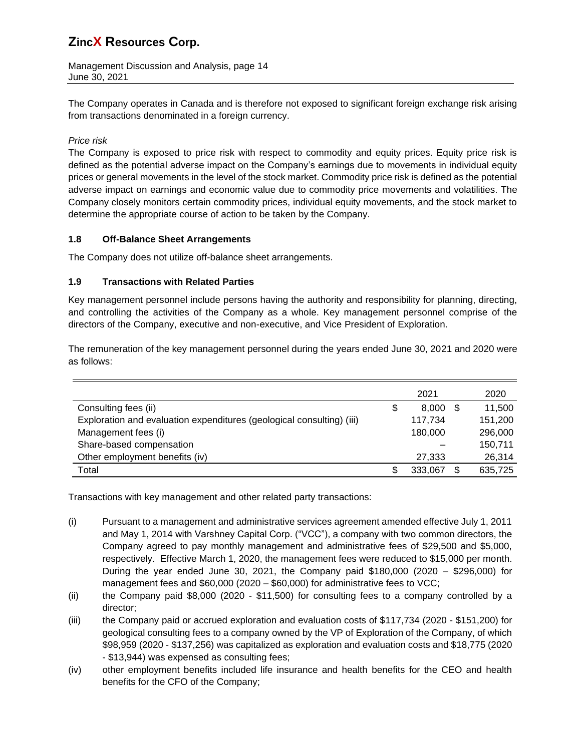Management Discussion and Analysis, page 14 June 30, 2021

The Company operates in Canada and is therefore not exposed to significant foreign exchange risk arising from transactions denominated in a foreign currency.

## *Price risk*

The Company is exposed to price risk with respect to commodity and equity prices. Equity price risk is defined as the potential adverse impact on the Company's earnings due to movements in individual equity prices or general movements in the level of the stock market. Commodity price risk is defined as the potential adverse impact on earnings and economic value due to commodity price movements and volatilities. The Company closely monitors certain commodity prices, individual equity movements, and the stock market to determine the appropriate course of action to be taken by the Company.

## **1.8 Off-Balance Sheet Arrangements**

The Company does not utilize off-balance sheet arrangements.

## **1.9 Transactions with Related Parties**

Key management personnel include persons having the authority and responsibility for planning, directing, and controlling the activities of the Company as a whole. Key management personnel comprise of the directors of the Company, executive and non-executive, and Vice President of Exploration.

The remuneration of the key management personnel during the years ended June 30, 2021 and 2020 were as follows:

|                                                                       |    | 2021    |     | 2020    |
|-----------------------------------------------------------------------|----|---------|-----|---------|
| Consulting fees (ii)                                                  | \$ | 8.000   | S   | 11,500  |
| Exploration and evaluation expenditures (geological consulting) (iii) |    | 117,734 |     | 151,200 |
| Management fees (i)                                                   |    | 180,000 |     | 296,000 |
| Share-based compensation                                              |    |         |     | 150,711 |
| Other employment benefits (iv)                                        |    | 27,333  |     | 26,314  |
| Total                                                                 | S  | 333,067 | \$. | 635,725 |

Transactions with key management and other related party transactions:

- (i) Pursuant to a management and administrative services agreement amended effective July 1, 2011 and May 1, 2014 with Varshney Capital Corp. ("VCC"), a company with two common directors, the Company agreed to pay monthly management and administrative fees of \$29,500 and \$5,000, respectively. Effective March 1, 2020, the management fees were reduced to \$15,000 per month. During the year ended June 30, 2021, the Company paid \$180,000 (2020 – \$296,000) for management fees and \$60,000 (2020 – \$60,000) for administrative fees to VCC;
- (ii) the Company paid \$8,000 (2020 \$11,500) for consulting fees to a company controlled by a director;
- (iii) the Company paid or accrued exploration and evaluation costs of \$117,734 (2020 \$151,200) for geological consulting fees to a company owned by the VP of Exploration of the Company, of which \$98,959 (2020 - \$137,256) was capitalized as exploration and evaluation costs and \$18,775 (2020 - \$13,944) was expensed as consulting fees;
- (iv) other employment benefits included life insurance and health benefits for the CEO and health benefits for the CFO of the Company;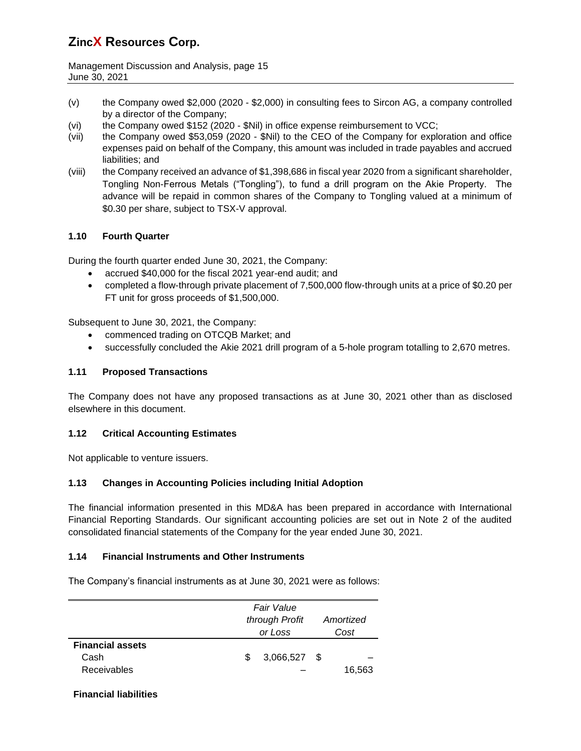Management Discussion and Analysis, page 15 June 30, 2021

- (v) the Company owed \$2,000 (2020 \$2,000) in consulting fees to Sircon AG, a company controlled by a director of the Company;
- (vi) the Company owed \$152 (2020 \$Nil) in office expense reimbursement to VCC;
- (vii) the Company owed \$53,059 (2020 \$Nil) to the CEO of the Company for exploration and office expenses paid on behalf of the Company, this amount was included in trade payables and accrued liabilities; and
- (viii) the Company received an advance of \$1,398,686 in fiscal year 2020 from a significant shareholder, Tongling Non-Ferrous Metals ("Tongling"), to fund a drill program on the Akie Property. The advance will be repaid in common shares of the Company to Tongling valued at a minimum of \$0.30 per share, subject to TSX-V approval.

## **1.10 Fourth Quarter**

During the fourth quarter ended June 30, 2021, the Company:

- accrued \$40,000 for the fiscal 2021 year-end audit; and
- completed a flow-through private placement of 7,500,000 flow-through units at a price of \$0.20 per FT unit for gross proceeds of \$1,500,000.

Subsequent to June 30, 2021, the Company:

- commenced trading on OTCQB Market; and
- successfully concluded the Akie 2021 drill program of a 5-hole program totalling to 2,670 metres.

#### **1.11 Proposed Transactions**

The Company does not have any proposed transactions as at June 30, 2021 other than as disclosed elsewhere in this document.

#### **1.12 Critical Accounting Estimates**

Not applicable to venture issuers.

## **1.13 Changes in Accounting Policies including Initial Adoption**

The financial information presented in this MD&A has been prepared in accordance with International Financial Reporting Standards. Our significant accounting policies are set out in Note 2 of the audited consolidated financial statements of the Company for the year ended June 30, 2021.

#### **1.14 Financial Instruments and Other Instruments**

The Company's financial instruments as at June 30, 2021 were as follows:

|                                                       |   | Fair Value<br>through Profit<br>or Loss |      | Amortized<br>Cost |
|-------------------------------------------------------|---|-----------------------------------------|------|-------------------|
| <b>Financial assets</b><br>Cash<br><b>Receivables</b> | S | 3,066,527                               | - \$ | 16,563            |

#### **Financial liabilities**